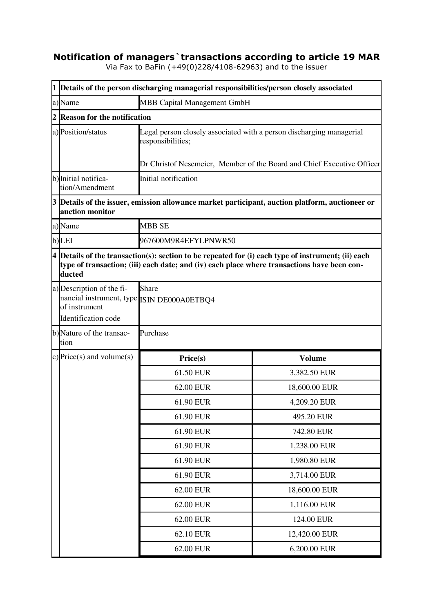## **Notification of managers`transactions according to article 19 MAR**

Via Fax to BaFin (+49(0)228/4108-62963) and to the issuer

|   | 1 Details of the person discharging managerial responsibilities/person closely associated                          |                                                                                                                                                                                                     |               |  |  |
|---|--------------------------------------------------------------------------------------------------------------------|-----------------------------------------------------------------------------------------------------------------------------------------------------------------------------------------------------|---------------|--|--|
|   | MBB Capital Management GmbH<br>a)Name                                                                              |                                                                                                                                                                                                     |               |  |  |
| 2 | <b>Reason for the notification</b>                                                                                 |                                                                                                                                                                                                     |               |  |  |
|   | a) Position/status                                                                                                 | Legal person closely associated with a person discharging managerial<br>responsibilities;                                                                                                           |               |  |  |
|   |                                                                                                                    | Dr Christof Nesemeier, Member of the Board and Chief Executive Officer                                                                                                                              |               |  |  |
|   | b) Initial notifica-<br>tion/Amendment                                                                             | Initial notification                                                                                                                                                                                |               |  |  |
|   | 3 Details of the issuer, emission allowance market participant, auction platform, auctioneer or<br>auction monitor |                                                                                                                                                                                                     |               |  |  |
|   | a)Name                                                                                                             | <b>MBB SE</b>                                                                                                                                                                                       |               |  |  |
|   | b)LEI                                                                                                              | 967600M9R4EFYLPNWR50                                                                                                                                                                                |               |  |  |
|   | ducted                                                                                                             | $4$ Details of the transaction(s): section to be repeated for (i) each type of instrument; (ii) each<br>type of transaction; (iii) each date; and (iv) each place where transactions have been con- |               |  |  |
|   | a) Description of the fi-<br>nancial instrument, type ISIN DE000A0ETBQ4<br>of instrument<br>Identification code    | Share                                                                                                                                                                                               |               |  |  |
|   | b)Nature of the transac-<br>tion                                                                                   | Purchase                                                                                                                                                                                            |               |  |  |
|   | c) Price(s) and volume(s)                                                                                          | Price(s)                                                                                                                                                                                            | <b>Volume</b> |  |  |
|   |                                                                                                                    | 61.50 EUR                                                                                                                                                                                           | 3,382.50 EUR  |  |  |
|   |                                                                                                                    | 62.00 EUR                                                                                                                                                                                           | 18,600.00 EUR |  |  |
|   |                                                                                                                    | 61.90 EUR                                                                                                                                                                                           | 4,209.20 EUR  |  |  |
|   |                                                                                                                    | 61.90 EUR                                                                                                                                                                                           | 495.20 EUR    |  |  |
|   |                                                                                                                    | 61.90 EUR                                                                                                                                                                                           | 742.80 EUR    |  |  |
|   |                                                                                                                    | 61.90 EUR                                                                                                                                                                                           | 1,238.00 EUR  |  |  |
|   |                                                                                                                    | 61.90 EUR                                                                                                                                                                                           | 1,980.80 EUR  |  |  |
|   |                                                                                                                    | 61.90 EUR                                                                                                                                                                                           | 3,714.00 EUR  |  |  |
|   |                                                                                                                    | 62.00 EUR                                                                                                                                                                                           | 18,600.00 EUR |  |  |
|   |                                                                                                                    | 62.00 EUR                                                                                                                                                                                           | 1,116.00 EUR  |  |  |
|   |                                                                                                                    | 62.00 EUR                                                                                                                                                                                           | 124.00 EUR    |  |  |
|   |                                                                                                                    | 62.10 EUR                                                                                                                                                                                           | 12,420.00 EUR |  |  |
|   |                                                                                                                    | 62.00 EUR                                                                                                                                                                                           | 6,200.00 EUR  |  |  |